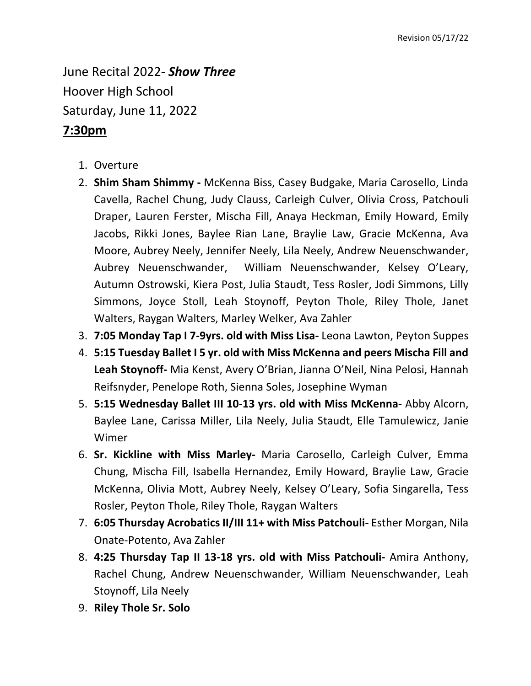June Recital 2022- *Show Three* Hoover High School Saturday, June 11, 2022

## **7:30pm**

- 1. Overture
- 2. **Shim Sham Shimmy -** McKenna Biss, Casey Budgake, Maria Carosello, Linda Cavella, Rachel Chung, Judy Clauss, Carleigh Culver, Olivia Cross, Patchouli Draper, Lauren Ferster, Mischa Fill, Anaya Heckman, Emily Howard, Emily Jacobs, Rikki Jones, Baylee Rian Lane, Braylie Law, Gracie McKenna, Ava Moore, Aubrey Neely, Jennifer Neely, Lila Neely, Andrew Neuenschwander, Aubrey Neuenschwander, William Neuenschwander, Kelsey O'Leary, Autumn Ostrowski, Kiera Post, Julia Staudt, Tess Rosler, Jodi Simmons, Lilly Simmons, Joyce Stoll, Leah Stoynoff, Peyton Thole, Riley Thole, Janet Walters, Raygan Walters, Marley Welker, Ava Zahler
- 3. **7:05 Monday Tap I 7-9yrs. old with Miss Lisa-** Leona Lawton, Peyton Suppes
- 4. **5:15 Tuesday Ballet I 5 yr. old with Miss McKenna and peers Mischa Fill and Leah Stoynoff-** Mia Kenst, Avery O'Brian, Jianna O'Neil, Nina Pelosi, Hannah Reifsnyder, Penelope Roth, Sienna Soles, Josephine Wyman
- 5. **5:15 Wednesday Ballet III 10-13 yrs. old with Miss McKenna-** Abby Alcorn, Baylee Lane, Carissa Miller, Lila Neely, Julia Staudt, Elle Tamulewicz, Janie Wimer
- 6. **Sr. Kickline with Miss Marley-** Maria Carosello, Carleigh Culver, Emma Chung, Mischa Fill, Isabella Hernandez, Emily Howard, Braylie Law, Gracie McKenna, Olivia Mott, Aubrey Neely, Kelsey O'Leary, Sofia Singarella, Tess Rosler, Peyton Thole, Riley Thole, Raygan Walters
- 7. **6:05 Thursday Acrobatics II/III 11+ with Miss Patchouli-** Esther Morgan, Nila Onate-Potento, Ava Zahler
- 8. **4:25 Thursday Tap II 13-18 yrs. old with Miss Patchouli-** Amira Anthony, Rachel Chung, Andrew Neuenschwander, William Neuenschwander, Leah Stoynoff, Lila Neely
- 9. **Riley Thole Sr. Solo**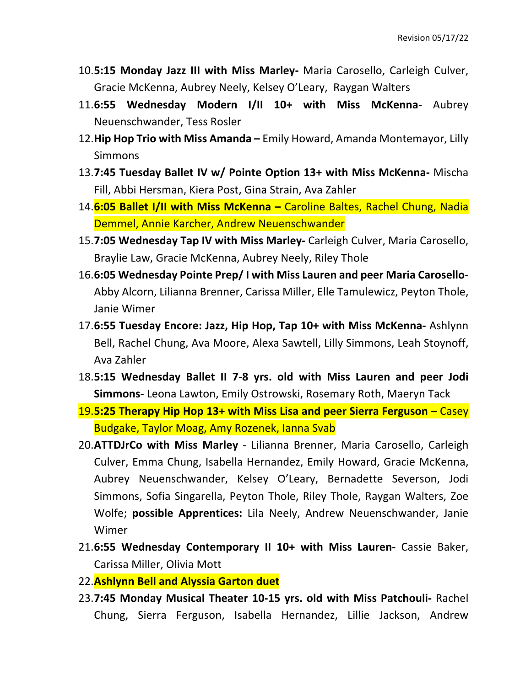- 10.**5:15 Monday Jazz III with Miss Marley-** Maria Carosello, Carleigh Culver, Gracie McKenna, Aubrey Neely, Kelsey O'Leary, Raygan Walters
- 11.**6:55 Wednesday Modern I/II 10+ with Miss McKenna-** Aubrey Neuenschwander, Tess Rosler
- 12.**Hip Hop Trio with Miss Amanda –** Emily Howard, Amanda Montemayor, Lilly **Simmons**
- 13.**7:45 Tuesday Ballet IV w/ Pointe Option 13+ with Miss McKenna-** Mischa Fill, Abbi Hersman, Kiera Post, Gina Strain, Ava Zahler
- 14.**6:05 Ballet I/II with Miss McKenna –** Caroline Baltes, Rachel Chung, Nadia Demmel, Annie Karcher, Andrew Neuenschwander
- 15.**7:05 Wednesday Tap IV with Miss Marley-** Carleigh Culver, Maria Carosello, Braylie Law, Gracie McKenna, Aubrey Neely, Riley Thole
- 16.**6:05 Wednesday Pointe Prep/ I with Miss Lauren and peer Maria Carosello-**Abby Alcorn, Lilianna Brenner, Carissa Miller, Elle Tamulewicz, Peyton Thole, Janie Wimer
- 17.**6:55 Tuesday Encore: Jazz, Hip Hop, Tap 10+ with Miss McKenna-** Ashlynn Bell, Rachel Chung, Ava Moore, Alexa Sawtell, Lilly Simmons, Leah Stoynoff, Ava Zahler
- 18.**5:15 Wednesday Ballet II 7-8 yrs. old with Miss Lauren and peer Jodi Simmons-** Leona Lawton, Emily Ostrowski, Rosemary Roth, Maeryn Tack
- 19.**5:25 Therapy Hip Hop 13+ with Miss Lisa and peer Sierra Ferguson** Casey Budgake, Taylor Moag, Amy Rozenek, Ianna Svab
- 20.**ATTDJrCo with Miss Marley** Lilianna Brenner, Maria Carosello, Carleigh Culver, Emma Chung, Isabella Hernandez, Emily Howard, Gracie McKenna, Aubrey Neuenschwander, Kelsey O'Leary, Bernadette Severson, Jodi Simmons, Sofia Singarella, Peyton Thole, Riley Thole, Raygan Walters, Zoe Wolfe; **possible Apprentices:** Lila Neely, Andrew Neuenschwander, Janie Wimer
- 21.**6:55 Wednesday Contemporary II 10+ with Miss Lauren-** Cassie Baker, Carissa Miller, Olivia Mott
- 22.**Ashlynn Bell and Alyssia Garton duet**
- 23.**7:45 Monday Musical Theater 10-15 yrs. old with Miss Patchouli-** Rachel Chung, Sierra Ferguson, Isabella Hernandez, Lillie Jackson, Andrew